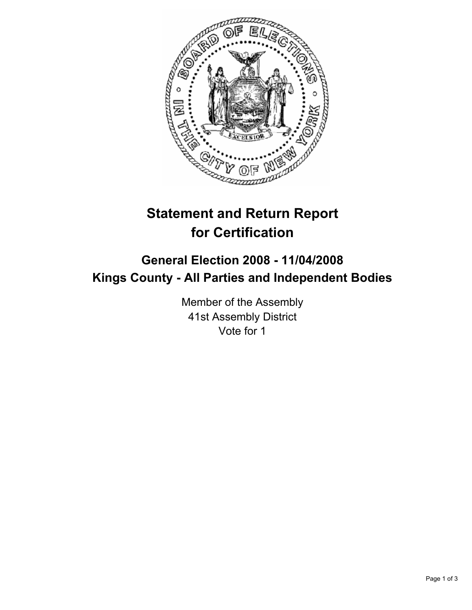

# **Statement and Return Report for Certification**

## **General Election 2008 - 11/04/2008 Kings County - All Parties and Independent Bodies**

Member of the Assembly 41st Assembly District Vote for 1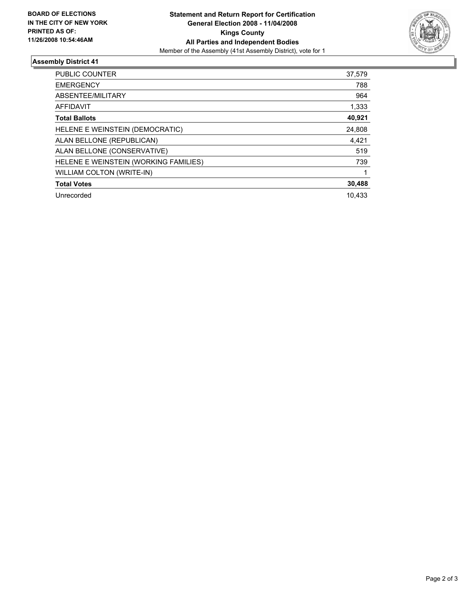

### **Assembly District 41**

| PUBLIC COUNTER                        | 37,579 |
|---------------------------------------|--------|
| <b>EMERGENCY</b>                      | 788    |
| ABSENTEE/MILITARY                     | 964    |
| <b>AFFIDAVIT</b>                      | 1,333  |
| <b>Total Ballots</b>                  | 40,921 |
| HELENE E WEINSTEIN (DEMOCRATIC)       | 24,808 |
| ALAN BELLONE (REPUBLICAN)             | 4,421  |
| ALAN BELLONE (CONSERVATIVE)           | 519    |
| HELENE E WEINSTEIN (WORKING FAMILIES) | 739    |
| WILLIAM COLTON (WRITE-IN)             |        |
| <b>Total Votes</b>                    | 30,488 |
| Unrecorded                            | 10.433 |